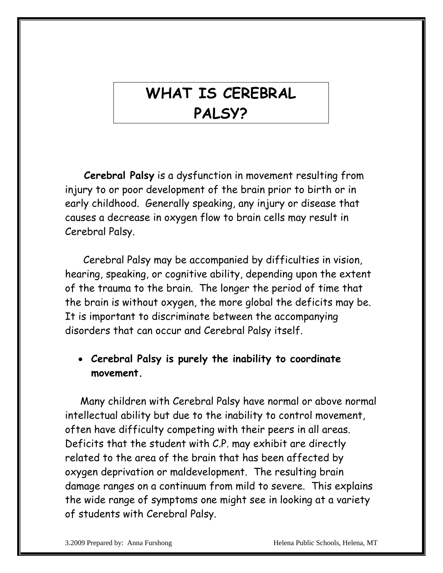## **WHAT IS CEREBRAL PALSY?**

 **Cerebral Palsy** is a dysfunction in movement resulting from injury to or poor development of the brain prior to birth or in early childhood. Generally speaking, any injury or disease that causes a decrease in oxygen flow to brain cells may result in Cerebral Palsy.

 Cerebral Palsy may be accompanied by difficulties in vision, hearing, speaking, or cognitive ability, depending upon the extent of the trauma to the brain. The longer the period of time that the brain is without oxygen, the more global the deficits may be. It is important to discriminate between the accompanying disorders that can occur and Cerebral Palsy itself.

#### • **Cerebral Palsy is purely the inability to coordinate movement.**

 Many children with Cerebral Palsy have normal or above normal intellectual ability but due to the inability to control movement, often have difficulty competing with their peers in all areas. Deficits that the student with C.P. may exhibit are directly related to the area of the brain that has been affected by oxygen deprivation or maldevelopment. The resulting brain damage ranges on a continuum from mild to severe. This explains the wide range of symptoms one might see in looking at a variety of students with Cerebral Palsy.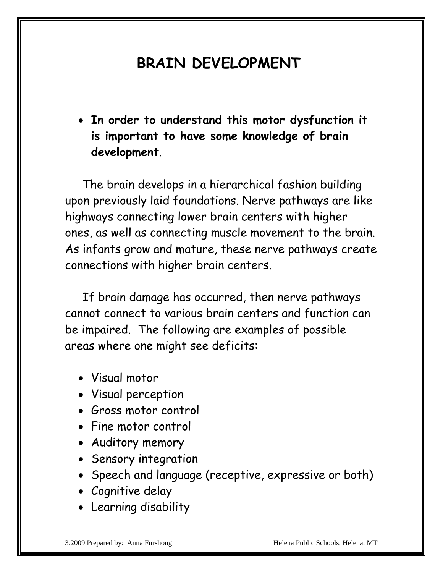# **BRAIN DEVELOPMENT**

• **In order to understand this motor dysfunction it is important to have some knowledge of brain development**.

 The brain develops in a hierarchical fashion building upon previously laid foundations. Nerve pathways are like highways connecting lower brain centers with higher ones, as well as connecting muscle movement to the brain. As infants grow and mature, these nerve pathways create connections with higher brain centers.

 If brain damage has occurred, then nerve pathways cannot connect to various brain centers and function can be impaired. The following are examples of possible areas where one might see deficits:

- Visual motor
- Visual perception
- Gross motor control
- Fine motor control
- Auditory memory
- Sensory integration
- Speech and language (receptive, expressive or both)
- Cognitive delay
- Learning disability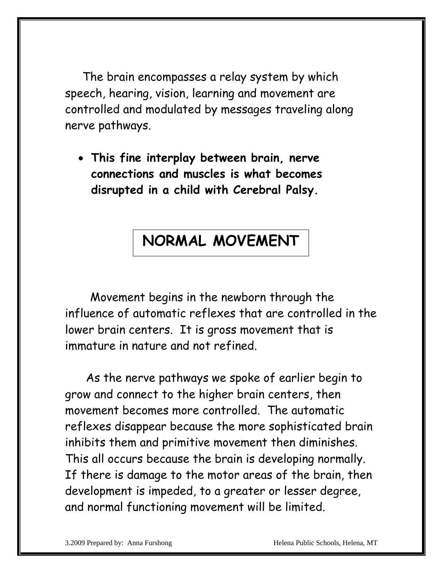The brain encompasses a relay system by which speech, hearing, vision, learning and movement are controlled and modulated by messages traveling along nerve pathways.

• **This fine interplay between brain, nerve connections and muscles is what becomes disrupted in a child with Cerebral Palsy.**

### **NORMAL MOVEMENT**

Movement begins in the newborn through the influence of automatic reflexes that are controlled in the lower brain centers. It is gross movement that is immature in nature and not refined.

 As the nerve pathways we spoke of earlier begin to grow and connect to the higher brain centers, then movement becomes more controlled. The automatic reflexes disappear because the more sophisticated brain inhibits them and primitive movement then diminishes. This all occurs because the brain is developing normally. If there is damage to the motor areas of the brain, then development is impeded, to a greater or lesser degree, and normal functioning movement will be limited.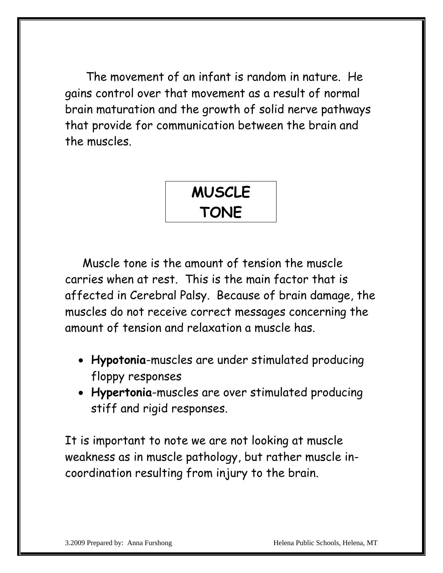The movement of an infant is random in nature. He gains control over that movement as a result of normal brain maturation and the growth of solid nerve pathways that provide for communication between the brain and the muscles.



 Muscle tone is the amount of tension the muscle carries when at rest. This is the main factor that is affected in Cerebral Palsy. Because of brain damage, the muscles do not receive correct messages concerning the amount of tension and relaxation a muscle has.

- **Hypotonia**-muscles are under stimulated producing floppy responses
- **Hypertonia**-muscles are over stimulated producing stiff and rigid responses.

It is important to note we are not looking at muscle weakness as in muscle pathology, but rather muscle incoordination resulting from injury to the brain.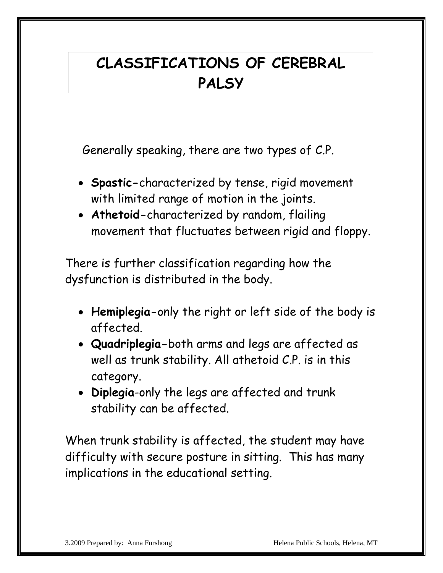## **CLASSIFICATIONS OF CEREBRAL PALSY**

Generally speaking, there are two types of C.P.

- **Spastic-**characterized by tense, rigid movement with limited range of motion in the joints.
- **Athetoid-**characterized by random, flailing movement that fluctuates between rigid and floppy.

There is further classification regarding how the dysfunction is distributed in the body.

- **Hemiplegia-**only the right or left side of the body is affected.
- **Quadriplegia-**both arms and legs are affected as well as trunk stability. All athetoid C.P. is in this category.
- **Diplegia**-only the legs are affected and trunk stability can be affected.

When trunk stability is affected, the student may have difficulty with secure posture in sitting. This has many implications in the educational setting.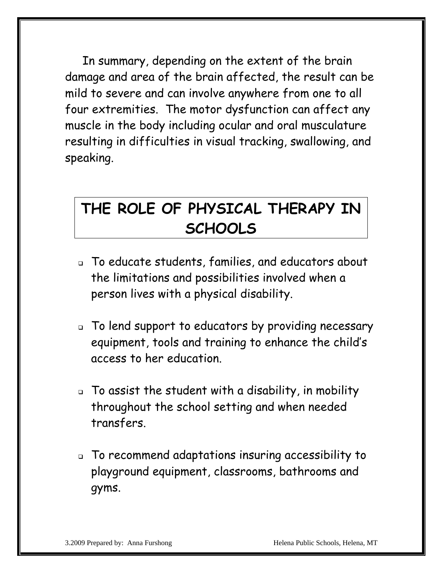In summary, depending on the extent of the brain damage and area of the brain affected, the result can be mild to severe and can involve anywhere from one to all four extremities. The motor dysfunction can affect any muscle in the body including ocular and oral musculature resulting in difficulties in visual tracking, swallowing, and speaking.

## **THE ROLE OF PHYSICAL THERAPY IN SCHOOLS**

- To educate students, families, and educators about the limitations and possibilities involved when a person lives with a physical disability.
- To lend support to educators by providing necessary equipment, tools and training to enhance the child's access to her education.
- To assist the student with a disability, in mobility throughout the school setting and when needed transfers.
- To recommend adaptations insuring accessibility to playground equipment, classrooms, bathrooms and gyms.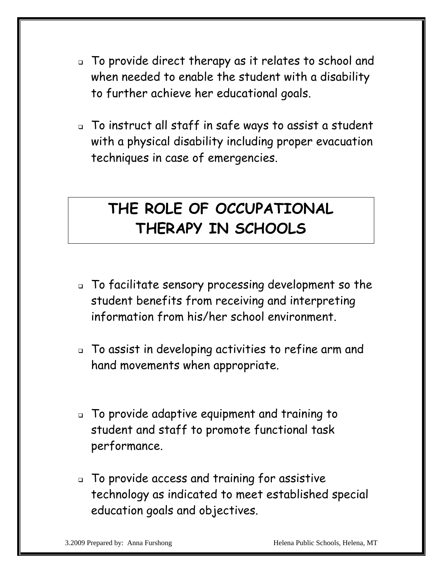- To provide direct therapy as it relates to school and when needed to enable the student with a disability to further achieve her educational goals.
- To instruct all staff in safe ways to assist a student with a physical disability including proper evacuation techniques in case of emergencies.

### **THE ROLE OF OCCUPATIONAL THERAPY IN SCHOOLS**

- To facilitate sensory processing development so the student benefits from receiving and interpreting information from his/her school environment.
- To assist in developing activities to refine arm and hand movements when appropriate.
- To provide adaptive equipment and training to student and staff to promote functional task performance.
- To provide access and training for assistive technology as indicated to meet established special education goals and objectives.